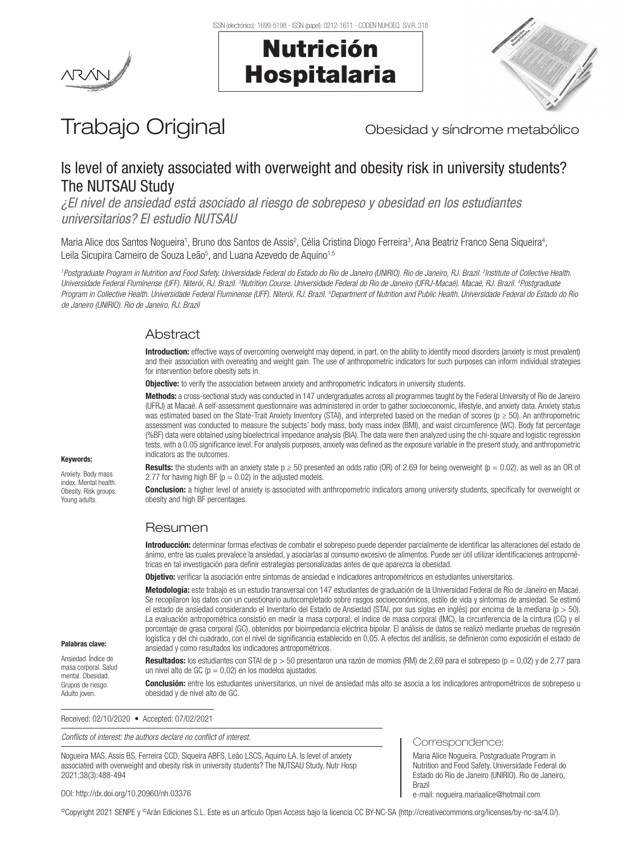





# Trabajo Original **Trabajo Original** Obesidad y síndrome metabólico

# Is level of anxiety associated with overweight and obesity risk in university students? The NUTSAU Study

*¿El nivel de ansiedad está asociado al riesgo de sobrepeso y obesidad en los estudiantes universitarios? El estudio NUTSAU*

Maria Alice dos Santos Nogueira<sup>1</sup>, Bruno dos Santos de Assis<sup>2</sup>, Célia Cristina Diogo Ferreira<sup>3</sup>, Ana Beatriz Franco Sena Siqueira<sup>4</sup>, Leila Sicupira Carneiro de Souza Leão<sup>5</sup>, and Luana Azevedo de Aquino<sup>1,5</sup>

*1 Postgraduate Program in Nutrition and Food Safety. Universidade Federal do Estado do Rio de Janeiro (UNIRIO). Rio de Janeiro, RJ. Brazil. 2 Institute of Collective Health.*  Universidade Federal Fluminense (UFF). Niterói, RJ. Brazil. <sup>3</sup>Nutrition Course. Universidade Federal do Rio de Janeiro (UFRJ-Macaé). Macaé, RJ. Brazil. <sup>4</sup>Postgraduate Program in Collective Health. Universidade Federal Fluminense (UFF). Niterói, RJ. Brazil. <sup>5</sup>Department of Nutrition and Public Health. Universidade Federal do Estado do Rio *de Janeiro (UNIRIO). Rio de Janeiro, RJ. Brazil*

# Abstract

Introduction: effective ways of overcoming overweight may depend, in part, on the ability to identify mood disorders (anxiety is most prevalent) and their association with overeating and weight gain. The use of anthropometric indicators for such purposes can inform individual strategies for intervention before obesity sets in.

**Objective:** to verify the association between anxiety and anthropometric indicators in university students.

Methods: a cross-sectional study was conducted in 147 undergraduates across all programmes taught by the Federal University of Rio de Janeiro (UFRJ) at Macaé. A self-assessment questionnaire was administered in order to gather socioeconomic, lifestyle, and anxiety data. Anxiety status was estimated based on the State-Trait Anxiety Inventory (STAI), and interpreted based on the median of scores ( $p \ge 50$ ). An anthropometric assessment was conducted to measure the subjects' body mass, body mass index (BMI), and waist circumference (WC). Body fat percentage (%BF) data were obtained using bioelectrical impedance analysis (BIA). The data were then analyzed using the chi-square and logistic regression tests, with a 0.05 significance level. For analysis purposes, anxiety was defined as the exposure variable in the present study, and anthropometric indicators as the outcomes.

Results: the students with an anxiety state  $p \ge 50$  presented an odds ratio (OR) of 2.69 for being overweight ( $p = 0.02$ ), as well as an OR of 2.77 for having high BF ( $p = 0.02$ ) in the adjusted models.

**Conclusion:** a higher level of anxiety is associated with anthropometric indicators among university students, specifically for overweight or obesity and high BF percentages.

# Resumen

Introducción: determinar formas efectivas de combatir el sobrepeso puede depender parcialmente de identificar las alteraciones del estado de ánimo, entre las cuales prevalece la ansiedad, y asociarlas al consumo excesivo de alimentos. Puede ser útil utilizar identificaciones antropométricas en tal investigación para definir estrategias personalizadas antes de que aparezca la obesidad.

Objetivo: verificar la asociación entre síntomas de ansiedad e indicadores antropométricos en estudiantes universitarios.

Metodología: este trabajo es un estudio transversal con 147 estudiantes de graduación de la Universidad Federal de Río de Janeiro en Macaé. Se recopilaron los datos con un cuestionario autocompletado sobre rasgos socioeconómicos, estilo de vida y síntomas de ansiedad. Se estimó el estado de ansiedad considerando el Inventario del Estado de Ansiedad (STAI, por sus siglas en inglés) por encima de la mediana (p > 50). La evaluación antropométrica consistió en medir la masa corporal, el índice de masa corporal (IMC), la circunferencia de la cintura (CC) y el porcentaje de grasa corporal (GC), obtenidos por bioimpedancia eléctrica bipolar. El análisis de datos se realizó mediante pruebas de regresión logística y del chi cuadrado, con el nivel de significancia establecido en 0,05. A efectos del análisis, se definieron como exposición el estado de ansiedad y como resultados los indicadores antropométricos.

Resultados: los estudiantes con STAI de  $p > 50$  presentaron una razón de momios (RM) de 2,69 para el sobrepeso ( $p = 0,02$ ) y de 2,77 para un nivel alto de GC ( $p = 0.02$ ) en los modelos ajustados.

Conclusión: entre los estudiantes universitarios, un nivel de ansiedad más alto se asocia a los indicadores antropométricos de sobrepeso u obesidad y de nivel alto de GC.

Received: 02/10/2020 • Accepted: 07/02/2021

*Conflicts of interest: the authors declare no conflict of interest.*

Nogueira MAS, Assis BS, Ferreira CCD, Siqueira ABFS, Leão LSCS, Aquino LA. Is level of anxiety associated with overweight and obesity risk in university students? The NUTSAU Study. Nutr Hosp 2021;38(3):488-494

DOI: http://dx.doi.org/10.20960/nh.03376

**Brazi** e-mail: nogueira.mariaalice@hotmail.com

Correspondence:

Maria Alice Nogueira. Postgraduate Program in Nutrition and Food Safety. Universidade Federal do Estado do Rio de Janeiro (UNIRIO). Rio de Janeiro,

©Copyright 2021 SENPE y ©Arán Ediciones S.L. Este es un artículo Open Access bajo la licencia CC BY-NC-SA (http://creativecommons.org/licenses/by-nc-sa/4.0/).

# Keywords:

Anxiety. Body mass index. Mental health. Obesity. Risk groups. Young adults.

Palabras clave: Ansiedad. Índice de masa corporal. Salud mental. Obesidad. Grupos de riesgo. Adulto joven.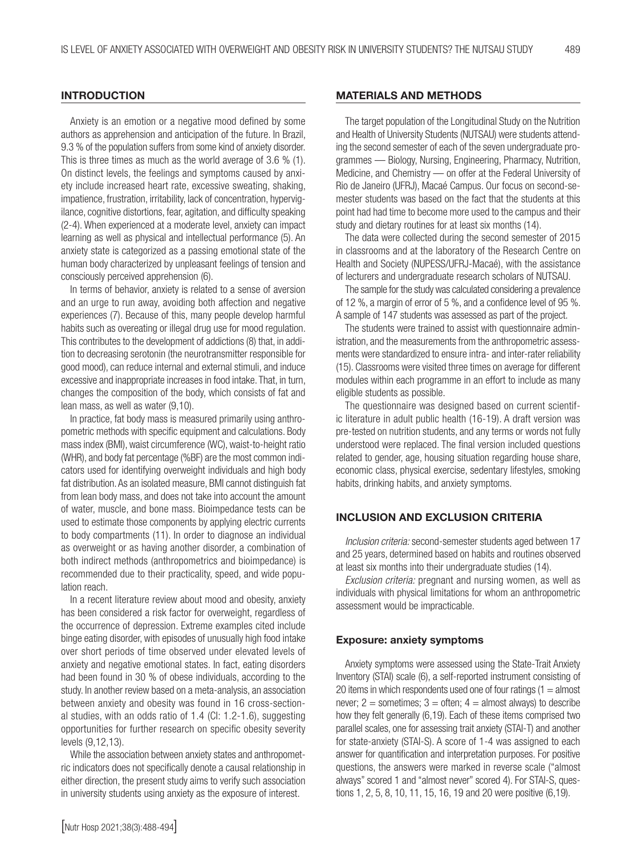#### **INTRODUCTION**

Anxiety is an emotion or a negative mood defined by some authors as apprehension and anticipation of the future. In Brazil, 9.3 % of the population suffers from some kind of anxiety disorder. This is three times as much as the world average of 3.6 % (1). On distinct levels, the feelings and symptoms caused by anxiety include increased heart rate, excessive sweating, shaking, impatience, frustration, irritability, lack of concentration, hypervigilance, cognitive distortions, fear, agitation, and difficulty speaking (2-4). When experienced at a moderate level, anxiety can impact learning as well as physical and intellectual performance (5). An anxiety state is categorized as a passing emotional state of the human body characterized by unpleasant feelings of tension and consciously perceived apprehension (6).

In terms of behavior, anxiety is related to a sense of aversion and an urge to run away, avoiding both affection and negative experiences (7). Because of this, many people develop harmful habits such as overeating or illegal drug use for mood regulation. This contributes to the development of addictions (8) that, in addition to decreasing serotonin (the neurotransmitter responsible for good mood), can reduce internal and external stimuli, and induce excessive and inappropriate increases in food intake. That, in turn, changes the composition of the body, which consists of fat and lean mass, as well as water (9,10).

In practice, fat body mass is measured primarily using anthropometric methods with specific equipment and calculations. Body mass index (BMI), waist circumference (WC), waist-to-height ratio (WHR), and body fat percentage (%BF) are the most common indicators used for identifying overweight individuals and high body fat distribution. As an isolated measure, BMI cannot distinguish fat from lean body mass, and does not take into account the amount of water, muscle, and bone mass. Bioimpedance tests can be used to estimate those components by applying electric currents to body compartments (11). In order to diagnose an individual as overweight or as having another disorder, a combination of both indirect methods (anthropometrics and bioimpedance) is recommended due to their practicality, speed, and wide population reach.

In a recent literature review about mood and obesity, anxiety has been considered a risk factor for overweight, regardless of the occurrence of depression. Extreme examples cited include binge eating disorder, with episodes of unusually high food intake over short periods of time observed under elevated levels of anxiety and negative emotional states. In fact, eating disorders had been found in 30 % of obese individuals, according to the study. In another review based on a meta-analysis, an association between anxiety and obesity was found in 16 cross-sectional studies, with an odds ratio of 1.4 (CI: 1.2-1.6), suggesting opportunities for further research on specific obesity severity levels (9,12,13).

While the association between anxiety states and anthropometric indicators does not specifically denote a causal relationship in either direction, the present study aims to verify such association in university students using anxiety as the exposure of interest.

#### MATERIALS AND METHODS

The target population of the Longitudinal Study on the Nutrition and Health of University Students (NUTSAU) were students attending the second semester of each of the seven undergraduate programmes — Biology, Nursing, Engineering, Pharmacy, Nutrition, Medicine, and Chemistry — on offer at the Federal University of Rio de Janeiro (UFRJ), Macaé Campus. Our focus on second-semester students was based on the fact that the students at this point had had time to become more used to the campus and their study and dietary routines for at least six months (14).

The data were collected during the second semester of 2015 in classrooms and at the laboratory of the Research Centre on Health and Society (NUPESS/UFRJ-Macaé), with the assistance of lecturers and undergraduate research scholars of NUTSAU.

The sample for the study was calculated considering a prevalence of 12 %, a margin of error of 5 %, and a confidence level of 95 %. A sample of 147 students was assessed as part of the project.

The students were trained to assist with questionnaire administration, and the measurements from the anthropometric assessments were standardized to ensure intra- and inter-rater reliability (15). Classrooms were visited three times on average for different modules within each programme in an effort to include as many eligible students as possible.

The questionnaire was designed based on current scientific literature in adult public health (16-19). A draft version was pre-tested on nutrition students, and any terms or words not fully understood were replaced. The final version included questions related to gender, age, housing situation regarding house share, economic class, physical exercise, sedentary lifestyles, smoking habits, drinking habits, and anxiety symptoms.

## INCLUSION AND EXCLUSION CRITERIA

*Inclusion criteria:* second-semester students aged between 17 and 25 years, determined based on habits and routines observed at least six months into their undergraduate studies (14).

*Exclusion criteria:* pregnant and nursing women, as well as individuals with physical limitations for whom an anthropometric assessment would be impracticable.

#### Exposure: anxiety symptoms

Anxiety symptoms were assessed using the State-Trait Anxiety Inventory (STAI) scale (6), a self-reported instrument consisting of 20 items in which respondents used one of four ratings  $(1 =$  almost never;  $2 =$  sometimes;  $3 =$  often;  $4 =$  almost always) to describe how they felt generally (6,19). Each of these items comprised two parallel scales, one for assessing trait anxiety (STAI-T) and another for state-anxiety (STAI-S). A score of 1-4 was assigned to each answer for quantification and interpretation purposes. For positive questions, the answers were marked in reverse scale ("almost always" scored 1 and "almost never" scored 4). For STAI-S, questions 1, 2, 5, 8, 10, 11, 15, 16, 19 and 20 were positive (6,19).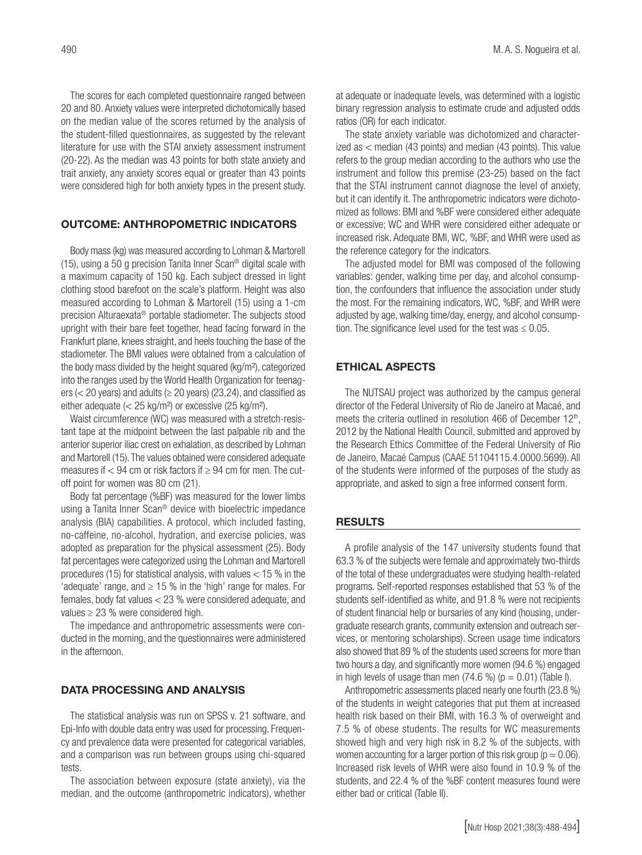The scores for each completed questionnaire ranged between 20 and 80. Anxiety values were interpreted dichotomically based on the median value of the scores returned by the analysis of the student-filled questionnaires, as suggested by the relevant literature for use with the STAI anxiety assessment instrument (20-22). As the median was 43 points for both state anxiety and trait anxiety, any anxiety scores equal or greater than 43 points were considered high for both anxiety types in the present study.

## OUTCOME: ANTHROPOMETRIC INDICATORS

Body mass (kg) was measured according to Lohman & Martorell (15), using a 50 g precision Tanita Inner Scan® digital scale with a maximum capacity of 150 kg. Each subject dressed in light clothing stood barefoot on the scale's platform. Height was also measured according to Lohman & Martorell (15) using a 1-cm precision Alturaexata® portable stadiometer. The subjects stood upright with their bare feet together, head facing forward in the Frankfurt plane, knees straight, and heels touching the base of the stadiometer. The BMI values were obtained from a calculation of the body mass divided by the height squared (kg/m²), categorized into the ranges used by the World Health Organization for teenagers ( $<$  20 years) and adults ( $\geq$  20 years) (23,24), and classified as either adequate (< 25 kg/m²) or excessive (25 kg/m²).

Waist circumference (WC) was measured with a stretch-resistant tape at the midpoint between the last palpable rib and the anterior superior iliac crest on exhalation, as described by Lohman and Martorell (15). The values obtained were considered adequate measures if  $< 94$  cm or risk factors if  $\geq 94$  cm for men. The cutoff point for women was 80 cm (21).

Body fat percentage (%BF) was measured for the lower limbs using a Tanita Inner Scan® device with bioelectric impedance analysis (BIA) capabilities. A protocol, which included fasting, no-caffeine, no-alcohol, hydration, and exercise policies, was adopted as preparation for the physical assessment (25). Body fat percentages were categorized using the Lohman and Martorell procedures (15) for statistical analysis, with values < 15 % in the 'adequate' range, and  $\geq$  15 % in the 'high' range for males. For females, body fat values < 23 % were considered adequate, and values  $\geq$  23 % were considered high.

The impedance and anthropometric assessments were conducted in the morning, and the questionnaires were administered in the afternoon.

## DATA PROCESSING AND ANALYSIS

The statistical analysis was run on SPSS v. 21 software, and Epi-Info with double data entry was used for processing. Frequency and prevalence data were presented for categorical variables, and a comparison was run between groups using chi-squared tests.

The association between exposure (state anxiety), via the median, and the outcome (anthropometric indicators), whether at adequate or inadequate levels, was determined with a logistic binary regression analysis to estimate crude and adjusted odds ratios (OR) for each indicator.

The state anxiety variable was dichotomized and characterized as < median (43 points) and median (43 points). This value refers to the group median according to the authors who use the instrument and follow this premise (23-25) based on the fact that the STAI instrument cannot diagnose the level of anxiety, but it can identify it. The anthropometric indicators were dichotomized as follows: BMI and %BF were considered either adequate or excessive; WC and WHR were considered either adequate or increased risk. Adequate BMI, WC, %BF, and WHR were used as the reference category for the indicators.

The adjusted model for BMI was composed of the following variables: gender, walking time per day, and alcohol consumption, the confounders that influence the association under study the most. For the remaining indicators, WC, %BF, and WHR were adjusted by age, walking time/day, energy, and alcohol consumption. The significance level used for the test was  $\leq 0.05$ .

#### ETHICAL ASPECTS

The NUTSAU project was authorized by the campus general director of the Federal University of Rio de Janeiro at Macaé, and meets the criteria outlined in resolution 466 of December  $12<sup>th</sup>$ , 2012 by the National Health Council, submitted and approved by the Research Ethics Committee of the Federal University of Rio de Janeiro, Macaé Campus (CAAE 51104115.4.0000.5699). All of the students were informed of the purposes of the study as appropriate, and asked to sign a free informed consent form.

#### RESULTS

A profile analysis of the 147 university students found that 63.3 % of the subjects were female and approximately two-thirds of the total of these undergraduates were studying health-related programs. Self-reported responses established that 53 % of the students self-identified as white, and 91.8 % were not recipients of student financial help or bursaries of any kind (housing, undergraduate research grants, community extension and outreach services, or mentoring scholarships). Screen usage time indicators also showed that 89 % of the students used screens for more than two hours a day, and significantly more women (94.6 %) engaged in high levels of usage than men  $(74.6 \%) (p = 0.01)$  (Table I).

Anthropometric assessments placed nearly one fourth (23.8 %) of the students in weight categories that put them at increased health risk based on their BMI, with 16.3 % of overweight and 7.5 % of obese students. The results for WC measurements showed high and very high risk in 8.2 % of the subjects, with women accounting for a larger portion of this risk group ( $p = 0.06$ ). Increased risk levels of WHR were also found in 10.9 % of the students, and 22.4 % of the %BF content measures found were either bad or critical (Table II).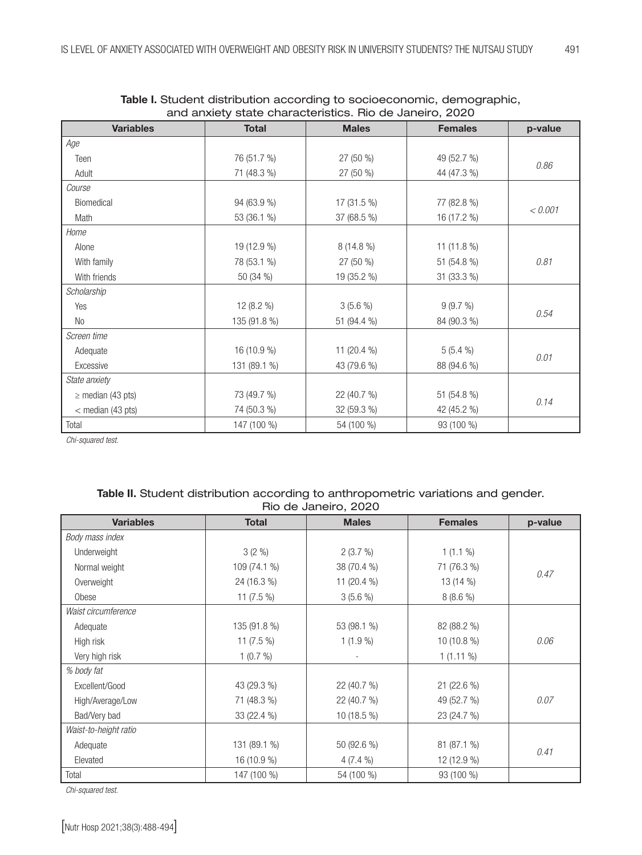| and anxiety state characteristics. Higher Janeiro, 2020 |              |                           |                |         |  |  |  |
|---------------------------------------------------------|--------------|---------------------------|----------------|---------|--|--|--|
| <b>Variables</b>                                        | <b>Total</b> | <b>Males</b>              | <b>Females</b> | p-value |  |  |  |
| Age                                                     |              |                           |                |         |  |  |  |
| Teen                                                    | 76 (51.7 %)  | 27 (50 %)                 | 49 (52.7 %)    | 0.86    |  |  |  |
| Adult                                                   | 71 (48.3 %)  | 44 (47.3 %)<br>$27(50\%)$ |                |         |  |  |  |
| Course                                                  |              |                           |                |         |  |  |  |
| Biomedical                                              | 94 (63.9 %)  | $17(31.5\%)$              | 77 (82.8 %)    | < 0.001 |  |  |  |
| Math                                                    | 53 (36.1 %)  | 37 (68.5 %)               | 16 (17.2 %)    |         |  |  |  |
| Home                                                    |              |                           |                |         |  |  |  |
| Alone                                                   | 19 (12.9 %)  | 8 (14.8 %)                | 11 (11.8 %)    |         |  |  |  |
| With family                                             | 78 (53.1 %)  | $27(50\%)$                | 51 (54.8 %)    | 0.81    |  |  |  |
| With friends                                            | 50 (34 %)    | 19 (35.2 %)               | 31 (33.3 %)    |         |  |  |  |
| Scholarship                                             |              |                           |                |         |  |  |  |
| Yes                                                     | 12 $(8.2\%)$ | $3(5.6\%)$                | 9(9.7%)        | 0.54    |  |  |  |
| No                                                      | 135 (91.8 %) | 51 (94.4 %)               | 84 (90.3 %)    |         |  |  |  |
| Screen time                                             |              |                           |                |         |  |  |  |
| Adequate                                                | 16 (10.9 %)  | 11 (20.4 %)               | $5(5.4\%)$     | 0.01    |  |  |  |
| Excessive                                               | 131 (89.1 %) | 43 (79.6 %)               | 88 (94.6 %)    |         |  |  |  |
| State anxiety                                           |              |                           |                |         |  |  |  |
| $\geq$ median (43 pts)                                  | 73 (49.7 %)  | 22 (40.7 %)               | 51 (54.8 %)    | 0.14    |  |  |  |
| $<$ median (43 pts)                                     | 74 (50.3 %)  | 32 (59.3 %)               | 42 (45.2 %)    |         |  |  |  |
| Total                                                   | 147 (100 %)  | 54 (100 %)                | 93 (100 %)     |         |  |  |  |

| Table I. Student distribution according to socioeconomic, demographic, |  |
|------------------------------------------------------------------------|--|
| and anxiety state characteristics. Rio de Janeiro, 2020                |  |

*Chi-squared test.*

# Table II. Student distribution according to anthropometric variations and gender. Rio de Janeiro, 2020

| <b>Variables</b>      | <b>Total</b> | <b>Males</b> | <b>Females</b> | p-value |  |
|-----------------------|--------------|--------------|----------------|---------|--|
| Body mass index       |              |              |                |         |  |
| Underweight           | $3(2\%)$     | 2(3.7%)      | $1(1.1\%)$     |         |  |
| Normal weight         | 109 (74.1 %) | 38 (70.4 %)  | 71 (76.3 %)    | 0.47    |  |
| Overweight            | 24 (16.3 %)  | 11 (20.4 %)  | 13 (14 %)      |         |  |
| Obese                 | 11 $(7.5\%)$ | 3(5.6%       | $8(8.6\%)$     |         |  |
| Waist circumference   |              |              |                |         |  |
| Adequate              | 135 (91.8 %) | 53 (98.1 %)  | 82 (88.2 %)    |         |  |
| High risk             | 11 $(7.5\%)$ | $1(1.9\%)$   | $10(10.8\%)$   | 0.06    |  |
| Very high risk        | $1(0.7\%)$   |              | $1(1.11\%)$    |         |  |
| % body fat            |              |              |                |         |  |
| Excellent/Good        | 43 (29.3 %)  | 22 (40.7 %)  | 21 (22.6 %)    |         |  |
| High/Average/Low      | 71 (48.3 %)  | 22 (40.7 %)  | 49 (52.7 %)    | 0.07    |  |
| Bad/Very bad          | 33 (22.4 %)  | 10 (18.5 %)  | 23 (24.7 %)    |         |  |
| Waist-to-height ratio |              |              |                |         |  |
| Adequate              | 131 (89.1 %) | 50 (92.6 %)  | 81 (87.1 %)    | 0.41    |  |
| Elevated              | 16 (10.9 %)  | $4(7.4\%)$   | 12 (12.9 %)    |         |  |
| Total                 | 147 (100 %)  | 54 (100 %)   | 93 (100 %)     |         |  |

*Chi-squared test.*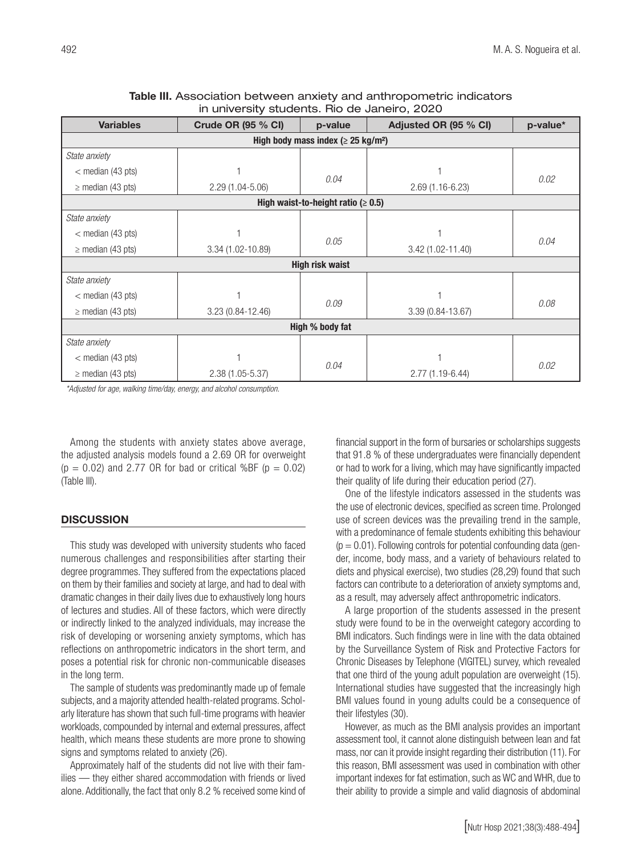| <b>Variables</b>                                     | Crude OR (95 % CI) | p-value | Adjusted OR (95 % CI) | p-value* |  |  |  |
|------------------------------------------------------|--------------------|---------|-----------------------|----------|--|--|--|
| High body mass index ( $\geq$ 25 kg/m <sup>2</sup> ) |                    |         |                       |          |  |  |  |
| State anxiety                                        |                    |         |                       |          |  |  |  |
| $<$ median (43 pts)                                  |                    |         |                       | 0.02     |  |  |  |
| $\geq$ median (43 pts)                               | 2.29 (1.04-5.06)   | 0.04    | $2.69(1.16-6.23)$     |          |  |  |  |
| High waist-to-height ratio ( $\geq 0.5$ )            |                    |         |                       |          |  |  |  |
| State anxiety                                        |                    |         |                       |          |  |  |  |
| $<$ median (43 pts)                                  |                    |         |                       | 0.04     |  |  |  |
| $\geq$ median (43 pts)                               | 3.34 (1.02-10.89)  | 0.05    | 3.42 (1.02-11.40)     |          |  |  |  |
| <b>High risk waist</b>                               |                    |         |                       |          |  |  |  |
| State anxiety                                        |                    |         |                       |          |  |  |  |
| $<$ median (43 pts)                                  |                    |         |                       | 0.08     |  |  |  |
| $\geq$ median (43 pts)                               | 3.23 (0.84-12.46)  | 0.09    | 3.39 (0.84-13.67)     |          |  |  |  |
| High % body fat                                      |                    |         |                       |          |  |  |  |
| State anxiety                                        |                    |         |                       |          |  |  |  |
| $<$ median (43 pts)                                  |                    | 0.04    |                       | 0.02     |  |  |  |
| $\geq$ median (43 pts)                               | 2.38 (1.05-5.37)   |         | 2.77 (1.19-6.44)      |          |  |  |  |

## Table III. Association between anxiety and anthropometric indicators in university students. Rio de Janeiro, 2020

*\*Adjusted for age, walking time/day, energy, and alcohol consumption.*

Among the students with anxiety states above average, the adjusted analysis models found a 2.69 OR for overweight  $(p = 0.02)$  and 2.77 OR for bad or critical %BF  $(p = 0.02)$ (Table III).

# **DISCUSSION**

This study was developed with university students who faced numerous challenges and responsibilities after starting their degree programmes. They suffered from the expectations placed on them by their families and society at large, and had to deal with dramatic changes in their daily lives due to exhaustively long hours of lectures and studies. All of these factors, which were directly or indirectly linked to the analyzed individuals, may increase the risk of developing or worsening anxiety symptoms, which has reflections on anthropometric indicators in the short term, and poses a potential risk for chronic non-communicable diseases in the long term.

The sample of students was predominantly made up of female subjects, and a majority attended health-related programs. Scholarly literature has shown that such full-time programs with heavier workloads, compounded by internal and external pressures, affect health, which means these students are more prone to showing signs and symptoms related to anxiety (26).

Approximately half of the students did not live with their families — they either shared accommodation with friends or lived alone. Additionally, the fact that only 8.2 % received some kind of financial support in the form of bursaries or scholarships suggests that 91.8 % of these undergraduates were financially dependent or had to work for a living, which may have significantly impacted their quality of life during their education period (27).

One of the lifestyle indicators assessed in the students was the use of electronic devices, specified as screen time. Prolonged use of screen devices was the prevailing trend in the sample, with a predominance of female students exhibiting this behaviour  $(p = 0.01)$ . Following controls for potential confounding data (gender, income, body mass, and a variety of behaviours related to diets and physical exercise), two studies (28,29) found that such factors can contribute to a deterioration of anxiety symptoms and, as a result, may adversely affect anthropometric indicators.

A large proportion of the students assessed in the present study were found to be in the overweight category according to BMI indicators. Such findings were in line with the data obtained by the Surveillance System of Risk and Protective Factors for Chronic Diseases by Telephone (VIGITEL) survey, which revealed that one third of the young adult population are overweight (15). International studies have suggested that the increasingly high BMI values found in young adults could be a consequence of their lifestyles (30).

However, as much as the BMI analysis provides an important assessment tool, it cannot alone distinguish between lean and fat mass, nor can it provide insight regarding their distribution (11). For this reason, BMI assessment was used in combination with other important indexes for fat estimation, such as WC and WHR, due to their ability to provide a simple and valid diagnosis of abdominal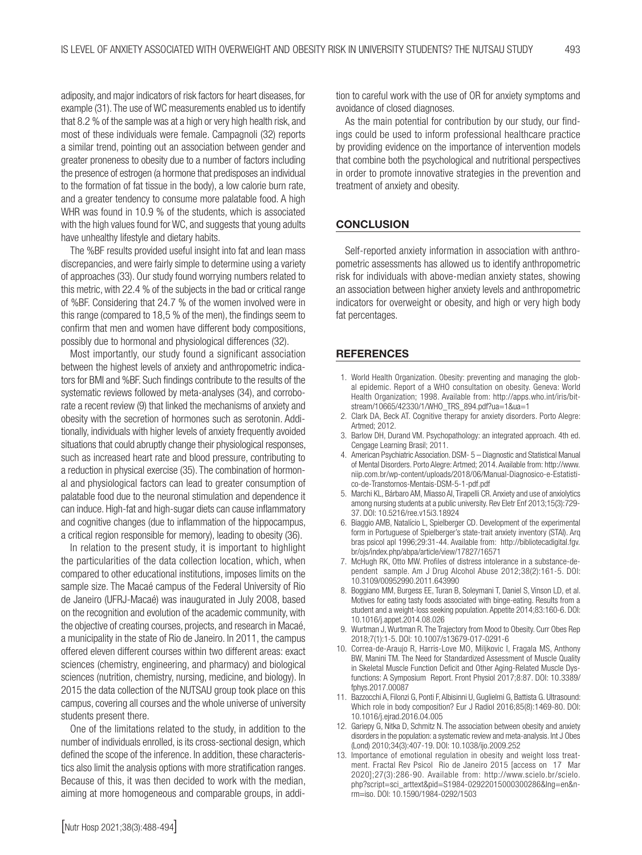adiposity, and major indicators of risk factors for heart diseases, for example (31). The use of WC measurements enabled us to identify that 8.2 % of the sample was at a high or very high health risk, and most of these individuals were female. Campagnoli (32) reports a similar trend, pointing out an association between gender and greater proneness to obesity due to a number of factors including the presence of estrogen (a hormone that predisposes an individual to the formation of fat tissue in the body), a low calorie burn rate, and a greater tendency to consume more palatable food. A high WHR was found in 10.9 % of the students, which is associated with the high values found for WC, and suggests that young adults have unhealthy lifestyle and dietary habits.

The %BF results provided useful insight into fat and lean mass discrepancies, and were fairly simple to determine using a variety of approaches (33). Our study found worrying numbers related to this metric, with 22.4 % of the subjects in the bad or critical range of %BF. Considering that 24.7 % of the women involved were in this range (compared to 18,5 % of the men), the findings seem to confirm that men and women have different body compositions, possibly due to hormonal and physiological differences (32).

Most importantly, our study found a significant association between the highest levels of anxiety and anthropometric indicators for BMI and %BF. Such findings contribute to the results of the systematic reviews followed by meta-analyses (34), and corroborate a recent review (9) that linked the mechanisms of anxiety and obesity with the secretion of hormones such as serotonin. Additionally, individuals with higher levels of anxiety frequently avoided situations that could abruptly change their physiological responses, such as increased heart rate and blood pressure, contributing to a reduction in physical exercise (35). The combination of hormonal and physiological factors can lead to greater consumption of palatable food due to the neuronal stimulation and dependence it can induce. High-fat and high-sugar diets can cause inflammatory and cognitive changes (due to inflammation of the hippocampus, a critical region responsible for memory), leading to obesity (36).

In relation to the present study, it is important to highlight the particularities of the data collection location, which, when compared to other educational institutions, imposes limits on the sample size. The Macaé campus of the Federal University of Rio de Janeiro (UFRJ-Macaé) was inaugurated in July 2008, based on the recognition and evolution of the academic community, with the objective of creating courses, projects, and research in Macaé, a municipality in the state of Rio de Janeiro. In 2011, the campus offered eleven different courses within two different areas: exact sciences (chemistry, engineering, and pharmacy) and biological sciences (nutrition, chemistry, nursing, medicine, and biology). In 2015 the data collection of the NUTSAU group took place on this campus, covering all courses and the whole universe of university students present there.

One of the limitations related to the study, in addition to the number of individuals enrolled, is its cross-sectional design, which defined the scope of the inference. In addition, these characteristics also limit the analysis options with more stratification ranges. Because of this, it was then decided to work with the median, aiming at more homogeneous and comparable groups, in addition to careful work with the use of OR for anxiety symptoms and avoidance of closed diagnoses.

As the main potential for contribution by our study, our findings could be used to inform professional healthcare practice by providing evidence on the importance of intervention models that combine both the psychological and nutritional perspectives in order to promote innovative strategies in the prevention and treatment of anxiety and obesity.

#### **CONCLUSION**

Self-reported anxiety information in association with anthropometric assessments has allowed us to identify anthropometric risk for individuals with above-median anxiety states, showing an association between higher anxiety levels and anthropometric indicators for overweight or obesity, and high or very high body fat percentages.

#### **REFERENCES**

- 1. World Health Organization. Obesity: preventing and managing the global epidemic. Report of a WHO consultation on obesity. Geneva: World Health Organization; 1998. Available from: http://apps.who.int/iris/bitstream/10665/42330/1/WHO\_TRS\_894.pdf?ua=1&ua=1
- 2. Clark DA, Beck AT. Cognitive therapy for anxiety disorders. Porto Alegre: Artmed; 2012.
- 3. Barlow DH, Durand VM. Psychopathology: an integrated approach. 4th ed. Cengage Learning Brasil; 2011.
- 4. American Psychiatric Association. DSM- 5 Diagnostic and Statistical Manual of Mental Disorders. Porto Alegre: Artmed; 2014. Available from: http://www. niip.com.br/wp-content/uploads/2018/06/Manual-Diagnosico-e-Estatistico-de-Transtornos-Mentais-DSM-5-1-pdf.pdf
- 5. Marchi KL, Bárbaro AM, Miasso AI, Tirapelli CR. Anxiety and use of anxiolytics among nursing students at a public university. Rev Eletr Enf 2013;15(3):729- 37. DOI: 10.5216/ree.v15i3.18924
- 6. Biaggio AMB, Natalício L, Spielberger CD. Development of the experimental form in Portuguese of Spielberger's state-trait anxiety inventory (STAI). Arq bras psicol apl 1996;29:31-44. Available from: http://bibliotecadigital.fgv. br/ojs/index.php/abpa/article/view/17827/16571
- 7. McHugh RK, Otto MW. Profiles of distress intolerance in a substance-dependent sample. Am J Drug Alcohol Abuse 2012;38(2):161-5. DOI: 10.3109/00952990.2011.643990
- 8. Boggiano MM, Burgess EE, Turan B, Soleymani T, Daniel S, Vinson LD, et al. Motives for eating tasty foods associated with binge-eating. Results from a student and a weight-loss seeking population. Appetite 2014;83:160-6. DOI: 10.1016/j.appet.2014.08.026
- 9. Wurtman J, Wurtman R. The Trajectory from Mood to Obesity. Curr Obes Rep 2018;7(1):1-5. DOI: 10.1007/s13679-017-0291-6
- 10. Correa-de-Araujo R, Harris-Love MO, Miljkovic I, Fragala MS, Anthony BW, Manini TM. The Need for Standardized Assessment of Muscle Quality in Skeletal Muscle Function Deficit and Other Aging-Related Muscle Dysfunctions: A Symposium Report. Front Physiol 2017;8:87. DOI: 10.3389/ fphys.2017.00087
- 11. Bazzocchi A, Filonzi G, Ponti F, Albisinni U, Guglielmi G, Battista G. Ultrasound: Which role in body composition? Eur J Radiol 2016;85(8):1469-80. DOI: 10.1016/j.ejrad.2016.04.005
- 12. Gariepy G, Nitka D, Schmitz N. The association between obesity and anxiety disorders in the population: a systematic review and meta-analysis. Int J Obes (Lond) 2010;34(3):407-19. DOI: 10.1038/ijo.2009.252
- 13. Importance of emotional regulation in obesity and weight loss treatment. Fractal Rev Psicol Rio de Janeiro 2015 [access on 17 Mar 2020];27(3):286-90. Available from: http://www.scielo.br/scielo. php?script=sci\_arttext&pid=S1984-02922015000300286&lng=en&nrm=iso. DOI: 10.1590/1984-0292/1503